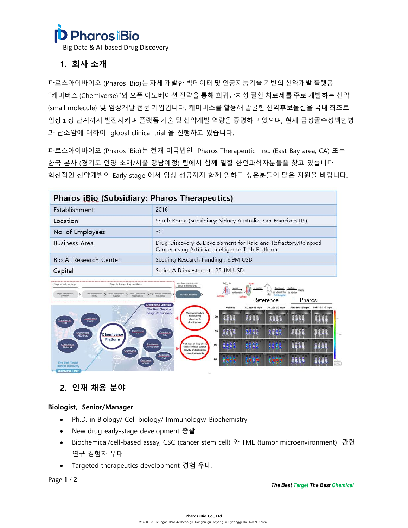

Big Data & AI-based Drug Discovery

# **1. 회사 소개**

파로스아이바이오 (Pharos iBio)는 자체 개발한 빅데이터 및 인공지능기술 기반의 신약개발 플랫폼 "케미버스 (Chemiverse)"와 오픈 이노베이션 전략을 통해 희귀난치성 질환 치료제를 주로 개발하는 신약 (small molecule) 및 임상개발 전문 기업입니다. 케미버스를 활용해 발굴한 신약후보물질을 국내 최초로 임상 1 상 단계까지 발전시키며 플랫폼 기술 및 신약개발 역량을 증명하고 있으며, 현재 급성골수성백혈병 과 난소암에 대하여 global clinical trial 을 진행하고 있습니다.

파로스아이바이오 (Pharos iBio)는 현재 미국법인 Pharos Therapeutic Inc. (East Bay area, CA) 또는 한국 본사 (경기도 안양 소재/서울 강남예정) 팀에서 함께 일할 한인과학자분들을 찾고 있습니다. 혁신적인 신약개발의 Early stage 에서 임상 성공까지 함께 일하고 싶은분들의 많은 지원을 바랍니다.

| Pharos iBio (Subsidiary: Pharos Therapeutics) |                                                                                                                     |
|-----------------------------------------------|---------------------------------------------------------------------------------------------------------------------|
| Establishment                                 | 2016                                                                                                                |
| Location                                      | South Korea (Subsidiary: Sidney Australia, San Francisco US)                                                        |
| No. of Employees                              | 30                                                                                                                  |
| <b>Business Area</b>                          | Drug Discovery & Development for Rare and Refractory/Relapsed<br>Cancer using Artificial Intelligence Tech Platform |
| Bio Al Research Center                        | Seeding Research Funding: 6.9M USD                                                                                  |
| Capital                                       | Series A B investment : 25.1M USD                                                                                   |



# **2. 인재 채용 분야**

# **Biologist, Senior/Manager**

- Ph.D. in Biology/ Cell biology/ Immunology/ Biochemistry
- New drug early-stage development 총괄.
- Biochemical/cell-based assay, CSC (cancer stem cell) 와 TME (tumor microenvironment) 관련 연구 경험자 우대
- Targeted therapeutics development 경험 우대.

Page **1** / **2**

*The Best Target The Best Chemical*